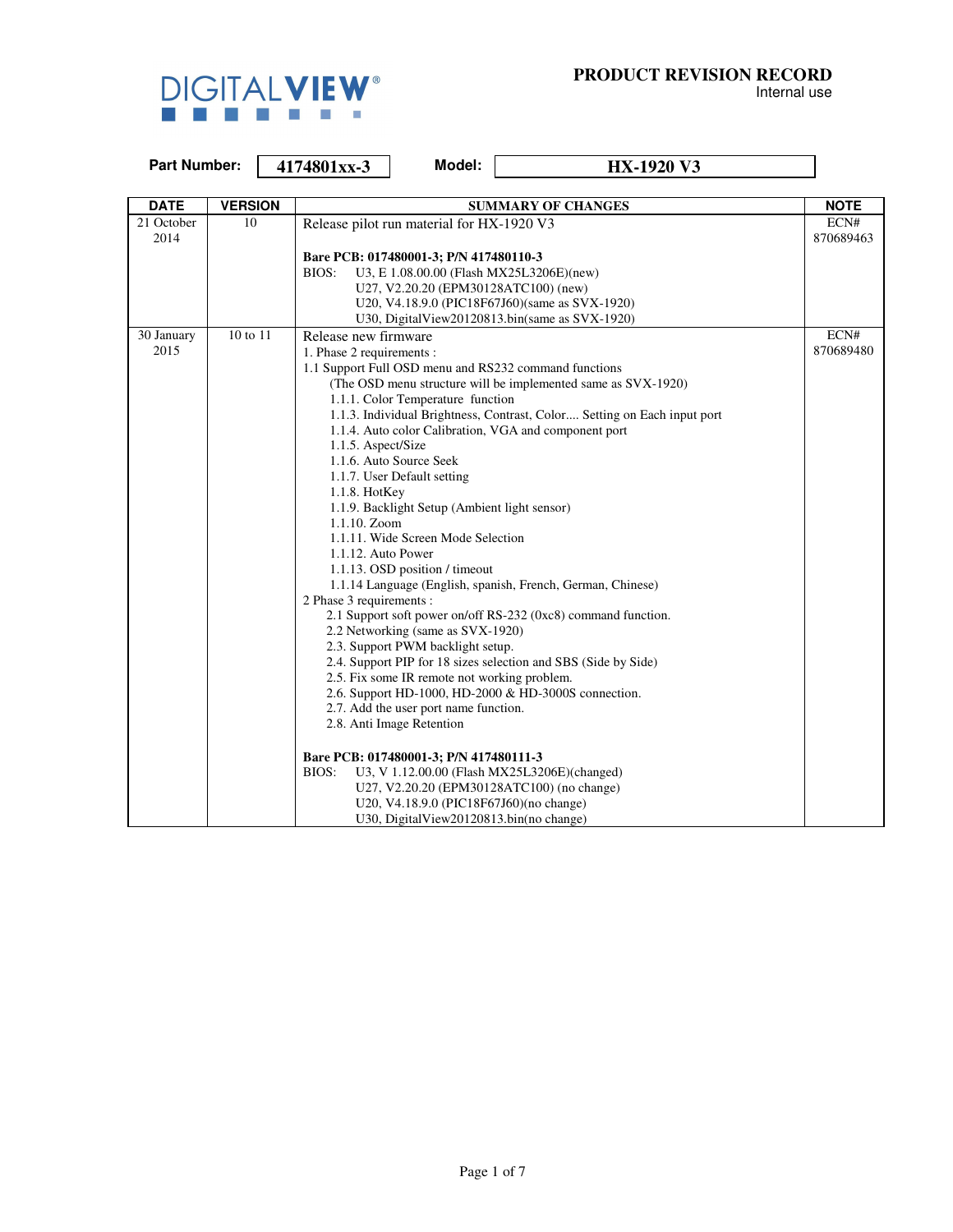

| <b>Part Number:</b> |                |  | 4174801xx-3               | Model:                                        | <b>HX-1920 V3</b>                                                        |             |
|---------------------|----------------|--|---------------------------|-----------------------------------------------|--------------------------------------------------------------------------|-------------|
|                     |                |  |                           |                                               |                                                                          |             |
| <b>DATE</b>         | <b>VERSION</b> |  |                           |                                               | <b>SUMMARY OF CHANGES</b>                                                | <b>NOTE</b> |
| 21 October          | 10             |  |                           | Release pilot run material for HX-1920 V3     |                                                                          | ECN#        |
| 2014                |                |  |                           |                                               |                                                                          | 870689463   |
|                     |                |  |                           | Bare PCB: 017480001-3; P/N 417480110-3        |                                                                          |             |
|                     |                |  | BIOS:                     |                                               | U3, E 1.08.00.00 (Flash MX25L3206E)(new)                                 |             |
|                     |                |  |                           | U27, V2.20.20 (EPM30128ATC100) (new)          |                                                                          |             |
|                     |                |  |                           |                                               | U20, V4.18.9.0 (PIC18F67J60)(same as SVX-1920)                           |             |
|                     |                |  |                           |                                               | U30, DigitalView20120813.bin(same as SVX-1920)                           |             |
| 30 January          | 10 to 11       |  | Release new firmware      |                                               |                                                                          | ECN#        |
| 2015                |                |  | 1. Phase 2 requirements : |                                               |                                                                          | 870689480   |
|                     |                |  |                           |                                               | 1.1 Support Full OSD menu and RS232 command functions                    |             |
|                     |                |  |                           |                                               | (The OSD menu structure will be implemented same as SVX-1920)            |             |
|                     |                |  |                           | 1.1.1. Color Temperature function             |                                                                          |             |
|                     |                |  |                           |                                               | 1.1.3. Individual Brightness, Contrast, Color Setting on Each input port |             |
|                     |                |  |                           |                                               | 1.1.4. Auto color Calibration, VGA and component port                    |             |
|                     |                |  | 1.1.5. Aspect/Size        |                                               |                                                                          |             |
|                     |                |  |                           | 1.1.6. Auto Source Seek                       |                                                                          |             |
|                     |                |  |                           | 1.1.7. User Default setting                   |                                                                          |             |
|                     |                |  | 1.1.8. HotKey             | 1.1.9. Backlight Setup (Ambient light sensor) |                                                                          |             |
|                     |                |  | 1.1.10. Zoom              |                                               |                                                                          |             |
|                     |                |  |                           | 1.1.11. Wide Screen Mode Selection            |                                                                          |             |
|                     |                |  | 1.1.12. Auto Power        |                                               |                                                                          |             |
|                     |                |  |                           | 1.1.13. OSD position / timeout                |                                                                          |             |
|                     |                |  |                           |                                               | 1.1.14 Language (English, spanish, French, German, Chinese)              |             |
|                     |                |  | 2 Phase 3 requirements :  |                                               |                                                                          |             |
|                     |                |  |                           |                                               | 2.1 Support soft power on/off RS-232 (0xc8) command function.            |             |
|                     |                |  |                           | 2.2 Networking (same as SVX-1920)             |                                                                          |             |
|                     |                |  |                           | 2.3. Support PWM backlight setup.             |                                                                          |             |
|                     |                |  |                           |                                               | 2.4. Support PIP for 18 sizes selection and SBS (Side by Side)           |             |
|                     |                |  |                           | 2.5. Fix some IR remote not working problem.  |                                                                          |             |
|                     |                |  |                           |                                               | 2.6. Support HD-1000, HD-2000 & HD-3000S connection.                     |             |
|                     |                |  |                           | 2.7. Add the user port name function.         |                                                                          |             |
|                     |                |  |                           | 2.8. Anti Image Retention                     |                                                                          |             |
|                     |                |  |                           | Bare PCB: 017480001-3; P/N 417480111-3        |                                                                          |             |
|                     |                |  | BIOS:                     |                                               | U3, V 1.12.00.00 (Flash MX25L3206E)(changed)                             |             |
|                     |                |  |                           |                                               | U27, V2.20.20 (EPM30128ATC100) (no change)                               |             |
|                     |                |  |                           | U20, V4.18.9.0 (PIC18F67J60)(no change)       |                                                                          |             |
|                     |                |  |                           | U30, DigitalView20120813.bin(no change)       |                                                                          |             |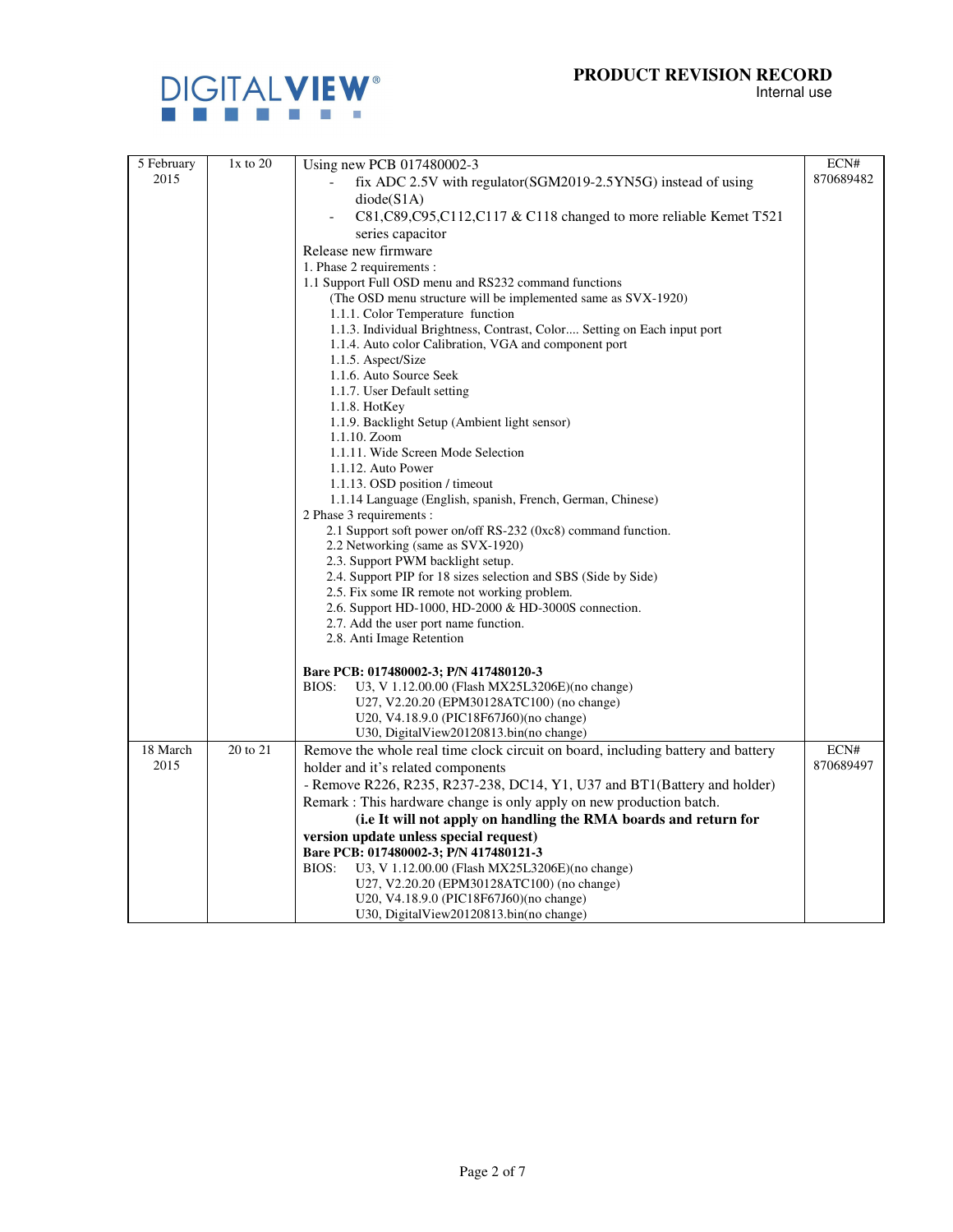

| 5 February | $1x$ to $20$ | Using new PCB 017480002-3                                                        | ECN#      |
|------------|--------------|----------------------------------------------------------------------------------|-----------|
| 2015       |              | fix ADC 2.5V with regulator(SGM2019-2.5YN5G) instead of using                    | 870689482 |
|            |              | diode(S1A)                                                                       |           |
|            |              | C81,C89,C95,C112,C117 & C118 changed to more reliable Kemet T521                 |           |
|            |              | series capacitor                                                                 |           |
|            |              | Release new firmware                                                             |           |
|            |              | 1. Phase 2 requirements :                                                        |           |
|            |              | 1.1 Support Full OSD menu and RS232 command functions                            |           |
|            |              | (The OSD menu structure will be implemented same as SVX-1920)                    |           |
|            |              | 1.1.1. Color Temperature function                                                |           |
|            |              | 1.1.3. Individual Brightness, Contrast, Color Setting on Each input port         |           |
|            |              | 1.1.4. Auto color Calibration, VGA and component port                            |           |
|            |              | 1.1.5. Aspect/Size                                                               |           |
|            |              | 1.1.6. Auto Source Seek                                                          |           |
|            |              | 1.1.7. User Default setting                                                      |           |
|            |              | 1.1.8. HotKey                                                                    |           |
|            |              | 1.1.9. Backlight Setup (Ambient light sensor)                                    |           |
|            |              | 1.1.10. Zoom<br>1.1.11. Wide Screen Mode Selection                               |           |
|            |              | 1.1.12. Auto Power                                                               |           |
|            |              | 1.1.13. OSD position / timeout                                                   |           |
|            |              | 1.1.14 Language (English, spanish, French, German, Chinese)                      |           |
|            |              | 2 Phase 3 requirements :                                                         |           |
|            |              | 2.1 Support soft power on/off RS-232 (0xc8) command function.                    |           |
|            |              | 2.2 Networking (same as SVX-1920)                                                |           |
|            |              | 2.3. Support PWM backlight setup.                                                |           |
|            |              | 2.4. Support PIP for 18 sizes selection and SBS (Side by Side)                   |           |
|            |              | 2.5. Fix some IR remote not working problem.                                     |           |
|            |              | 2.6. Support HD-1000, HD-2000 & HD-3000S connection.                             |           |
|            |              | 2.7. Add the user port name function.                                            |           |
|            |              | 2.8. Anti Image Retention                                                        |           |
|            |              | Bare PCB: 017480002-3; P/N 417480120-3                                           |           |
|            |              | BIOS:<br>U3, V 1.12.00.00 (Flash MX25L3206E)(no change)                          |           |
|            |              | U27, V2.20.20 (EPM30128ATC100) (no change)                                       |           |
|            |              | U20, V4.18.9.0 (PIC18F67J60)(no change)                                          |           |
|            |              | U30, DigitalView20120813.bin(no change)                                          |           |
| 18 March   | 20 to 21     | Remove the whole real time clock circuit on board, including battery and battery | ECN#      |
| 2015       |              | holder and it's related components                                               | 870689497 |
|            |              | - Remove R226, R235, R237-238, DC14, Y1, U37 and BT1(Battery and holder)         |           |
|            |              | Remark : This hardware change is only apply on new production batch.             |           |
|            |              | (i.e It will not apply on handling the RMA boards and return for                 |           |
|            |              | version update unless special request)                                           |           |
|            |              | Bare PCB: 017480002-3; P/N 417480121-3                                           |           |
|            |              | BIOS:<br>U3, V 1.12.00.00 (Flash MX25L3206E)(no change)                          |           |
|            |              | U27, V2.20.20 (EPM30128ATC100) (no change)                                       |           |
|            |              | U20, V4.18.9.0 (PIC18F67J60) (no change)                                         |           |
|            |              | U30, DigitalView20120813.bin(no change)                                          |           |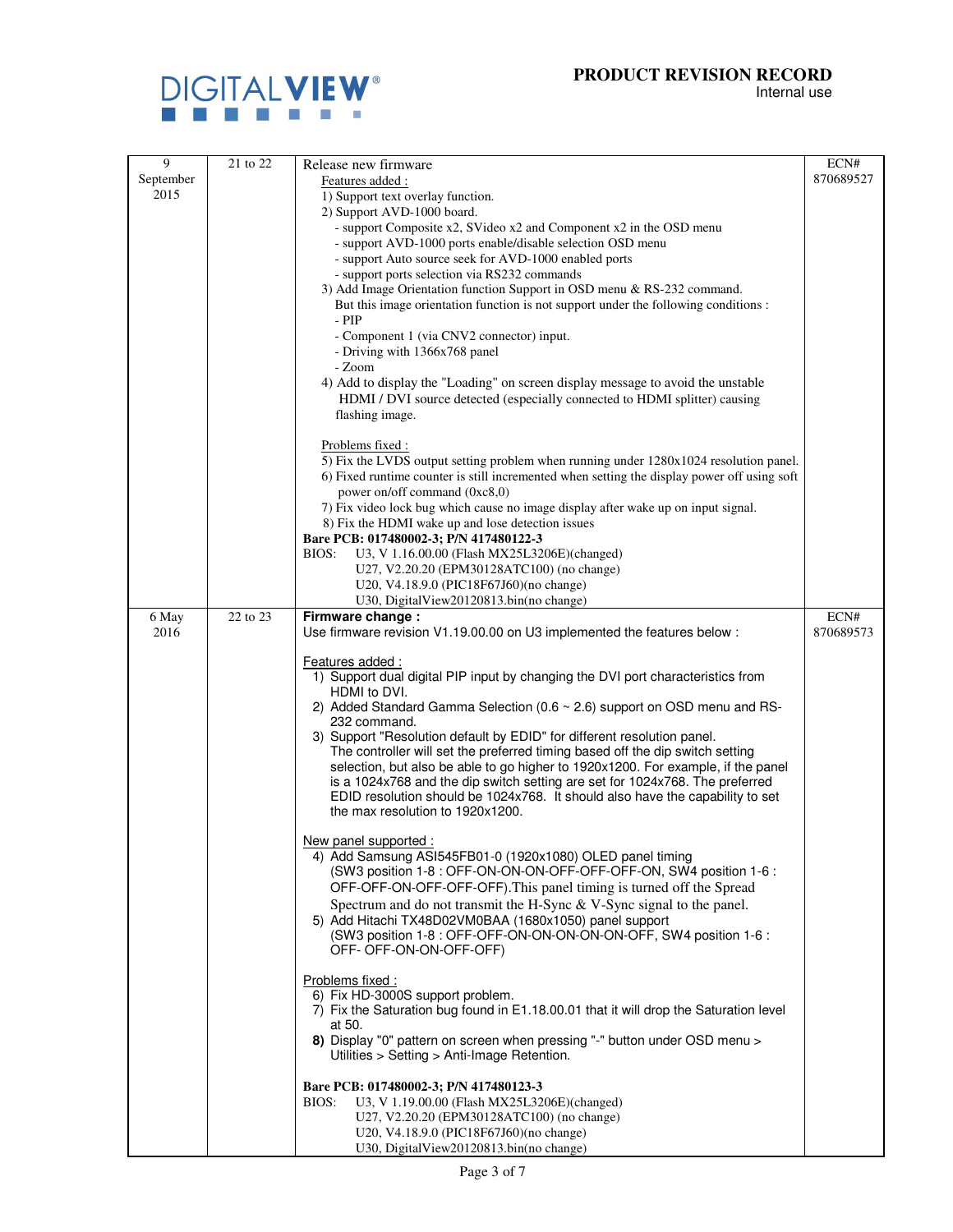Internal use



| 9             | 21 to 22 | Release new firmware                                                                                                                                              | ECN#      |
|---------------|----------|-------------------------------------------------------------------------------------------------------------------------------------------------------------------|-----------|
| September     |          | Features added:                                                                                                                                                   | 870689527 |
| 2015          |          | 1) Support text overlay function.                                                                                                                                 |           |
|               |          | 2) Support AVD-1000 board.<br>- support Composite x2, SVideo x2 and Component x2 in the OSD menu                                                                  |           |
|               |          | - support AVD-1000 ports enable/disable selection OSD menu                                                                                                        |           |
|               |          | - support Auto source seek for AVD-1000 enabled ports                                                                                                             |           |
|               |          | - support ports selection via RS232 commands                                                                                                                      |           |
|               |          | 3) Add Image Orientation function Support in OSD menu & RS-232 command.<br>But this image orientation function is not support under the following conditions :    |           |
|               |          | - PIP                                                                                                                                                             |           |
|               |          | - Component 1 (via CNV2 connector) input.                                                                                                                         |           |
|               |          | - Driving with 1366x768 panel                                                                                                                                     |           |
|               |          | - Zoom<br>4) Add to display the "Loading" on screen display message to avoid the unstable                                                                         |           |
|               |          | HDMI / DVI source detected (especially connected to HDMI splitter) causing                                                                                        |           |
|               |          | flashing image.                                                                                                                                                   |           |
|               |          | Problems fixed:                                                                                                                                                   |           |
|               |          | 5) Fix the LVDS output setting problem when running under 1280x1024 resolution panel.                                                                             |           |
|               |          | 6) Fixed runtime counter is still incremented when setting the display power off using soft                                                                       |           |
|               |          | power on/off command (0xc8,0)<br>7) Fix video lock bug which cause no image display after wake up on input signal.                                                |           |
|               |          | 8) Fix the HDMI wake up and lose detection issues                                                                                                                 |           |
|               |          | Bare PCB: 017480002-3; P/N 417480122-3                                                                                                                            |           |
|               |          | U3, V 1.16.00.00 (Flash MX25L3206E)(changed)<br>BIOS:<br>U27, V2.20.20 (EPM30128ATC100) (no change)                                                               |           |
|               |          | U20, V4.18.9.0 (PIC18F67J60)(no change)                                                                                                                           |           |
|               |          | U30, DigitalView20120813.bin(no change)                                                                                                                           |           |
| 6 May<br>2016 | 22 to 23 | Firmware change:                                                                                                                                                  | ECN#      |
|               |          | Use firmware revision V1.19.00.00 on U3 implemented the features below :                                                                                          | 870689573 |
|               |          | Features added:                                                                                                                                                   |           |
|               |          | 1) Support dual digital PIP input by changing the DVI port characteristics from<br>HDMI to DVI.                                                                   |           |
|               |          | 2) Added Standard Gamma Selection (0.6 ~ 2.6) support on OSD menu and RS-                                                                                         |           |
|               |          | 232 command.                                                                                                                                                      |           |
|               |          | 3) Support "Resolution default by EDID" for different resolution panel.                                                                                           |           |
|               |          | The controller will set the preferred timing based off the dip switch setting<br>selection, but also be able to go higher to 1920x1200. For example, if the panel |           |
|               |          | is a 1024x768 and the dip switch setting are set for 1024x768. The preferred                                                                                      |           |
|               |          | EDID resolution should be 1024x768. It should also have the capability to set                                                                                     |           |
|               |          | the max resolution to 1920x1200.                                                                                                                                  |           |
|               |          | New panel supported :                                                                                                                                             |           |
|               |          | 4) Add Samsung ASI545FB01-0 (1920x1080) OLED panel timing                                                                                                         |           |
|               |          | (SW3 position 1-8 : OFF-ON-ON-ON-OFF-OFF-OFF-ON, SW4 position 1-6 :<br>OFF-OFF-ON-OFF-OFF-OFF). This panel timing is turned off the Spread                        |           |
|               |          | Spectrum and do not transmit the H-Sync $\&$ V-Sync signal to the panel.                                                                                          |           |
|               |          | 5) Add Hitachi TX48D02VM0BAA (1680x1050) panel support                                                                                                            |           |
|               |          | (SW3 position 1-8 : OFF-OFF-ON-ON-ON-ON-ON-OFF, SW4 position 1-6 :                                                                                                |           |
|               |          | OFF-OFF-ON-ON-OFF-OFF)                                                                                                                                            |           |
|               |          | Problems fixed:                                                                                                                                                   |           |
|               |          | 6) Fix HD-3000S support problem.<br>7) Fix the Saturation bug found in E1.18.00.01 that it will drop the Saturation level                                         |           |
|               |          | at 50.                                                                                                                                                            |           |
|               |          | 8) Display "0" pattern on screen when pressing "-" button under OSD menu >                                                                                        |           |
|               |          | Utilities > Setting > Anti-Image Retention.                                                                                                                       |           |
|               |          | Bare PCB: 017480002-3; P/N 417480123-3                                                                                                                            |           |
|               |          | BIOS:<br>U3, V 1.19.00.00 (Flash MX25L3206E)(changed)                                                                                                             |           |
|               |          | U27, V2.20.20 (EPM30128ATC100) (no change)<br>U20, V4.18.9.0 (PIC18F67J60)(no change)                                                                             |           |
|               |          | U30, DigitalView20120813.bin(no change)                                                                                                                           |           |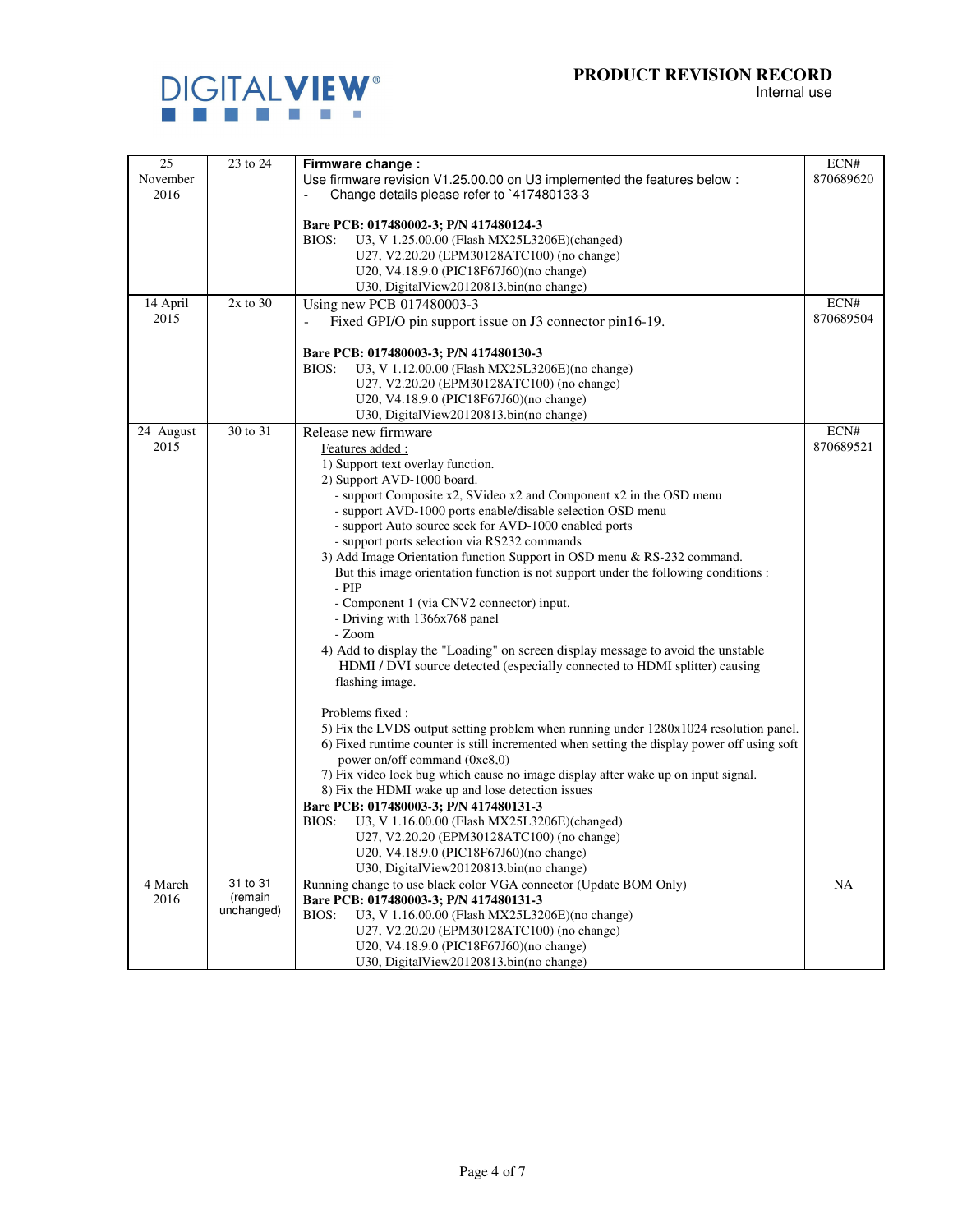

| 25        | 23 to 24              | Firmware change:                                                                                                                                               | ECN#      |
|-----------|-----------------------|----------------------------------------------------------------------------------------------------------------------------------------------------------------|-----------|
| November  |                       | Use firmware revision V1.25.00.00 on U3 implemented the features below :                                                                                       | 870689620 |
| 2016      |                       | Change details please refer to 117480133-3                                                                                                                     |           |
|           |                       |                                                                                                                                                                |           |
|           |                       | Bare PCB: 017480002-3; P/N 417480124-3                                                                                                                         |           |
|           |                       | U3, V 1.25.00.00 (Flash MX25L3206E)(changed)<br>BIOS:                                                                                                          |           |
|           |                       | U27, V2.20.20 (EPM30128ATC100) (no change)                                                                                                                     |           |
|           |                       | U20, V4.18.9.0 (PIC18F67J60)(no change)                                                                                                                        |           |
|           |                       | U30, DigitalView20120813.bin(no change)                                                                                                                        |           |
| 14 April  | $2x$ to $30$          | Using new PCB 017480003-3                                                                                                                                      | ECN#      |
| 2015      |                       | Fixed GPI/O pin support issue on J3 connector pin16-19.                                                                                                        | 870689504 |
|           |                       |                                                                                                                                                                |           |
|           |                       | Bare PCB: 017480003-3; P/N 417480130-3                                                                                                                         |           |
|           |                       | U3, V 1.12.00.00 (Flash MX25L3206E)(no change)<br>BIOS:                                                                                                        |           |
|           |                       | U27, V2.20.20 (EPM30128ATC100) (no change)                                                                                                                     |           |
|           |                       | U20, V4.18.9.0 (PIC18F67J60)(no change)                                                                                                                        |           |
|           |                       | U30, DigitalView20120813.bin(no change)                                                                                                                        |           |
| 24 August | 30 to 31              | Release new firmware                                                                                                                                           | ECN#      |
| 2015      |                       | Features added:                                                                                                                                                | 870689521 |
|           |                       | 1) Support text overlay function.                                                                                                                              |           |
|           |                       | 2) Support AVD-1000 board.                                                                                                                                     |           |
|           |                       | - support Composite x2, SVideo x2 and Component x2 in the OSD menu                                                                                             |           |
|           |                       | - support AVD-1000 ports enable/disable selection OSD menu                                                                                                     |           |
|           |                       | - support Auto source seek for AVD-1000 enabled ports                                                                                                          |           |
|           |                       | - support ports selection via RS232 commands                                                                                                                   |           |
|           |                       | 3) Add Image Orientation function Support in OSD menu & RS-232 command.<br>But this image orientation function is not support under the following conditions : |           |
|           |                       | $-$ PIP                                                                                                                                                        |           |
|           |                       | - Component 1 (via CNV2 connector) input.                                                                                                                      |           |
|           |                       | - Driving with 1366x768 panel                                                                                                                                  |           |
|           |                       | - Zoom                                                                                                                                                         |           |
|           |                       | 4) Add to display the "Loading" on screen display message to avoid the unstable                                                                                |           |
|           |                       | HDMI / DVI source detected (especially connected to HDMI splitter) causing                                                                                     |           |
|           |                       | flashing image.                                                                                                                                                |           |
|           |                       |                                                                                                                                                                |           |
|           |                       | Problems fixed :                                                                                                                                               |           |
|           |                       | 5) Fix the LVDS output setting problem when running under 1280x1024 resolution panel.                                                                          |           |
|           |                       | 6) Fixed runtime counter is still incremented when setting the display power off using soft                                                                    |           |
|           |                       | power on/off command (0xc8,0)                                                                                                                                  |           |
|           |                       | 7) Fix video lock bug which cause no image display after wake up on input signal.                                                                              |           |
|           |                       | 8) Fix the HDMI wake up and lose detection issues                                                                                                              |           |
|           |                       | Bare PCB: 017480003-3; P/N 417480131-3                                                                                                                         |           |
|           |                       | BIOS:<br>U3, V 1.16.00.00 (Flash MX25L3206E)(changed)                                                                                                          |           |
|           |                       | U27, V2.20.20 (EPM30128ATC100) (no change)                                                                                                                     |           |
|           |                       | U20, V4.18.9.0 (PIC18F67J60)(no change)                                                                                                                        |           |
|           |                       | U30, DigitalView20120813.bin(no change)                                                                                                                        |           |
| 4 March   | 31 to 31              | Running change to use black color VGA connector (Update BOM Only)                                                                                              | NA        |
| 2016      | (remain<br>unchanged) | Bare PCB: 017480003-3; P/N 417480131-3                                                                                                                         |           |
|           |                       | BIOS:<br>U3, V 1.16.00.00 (Flash MX25L3206E)(no change)                                                                                                        |           |
|           |                       | U27, V2.20.20 (EPM30128ATC100) (no change)                                                                                                                     |           |
|           |                       | U20, V4.18.9.0 (PIC18F67J60)(no change)                                                                                                                        |           |
|           |                       | U30, DigitalView20120813.bin(no change)                                                                                                                        |           |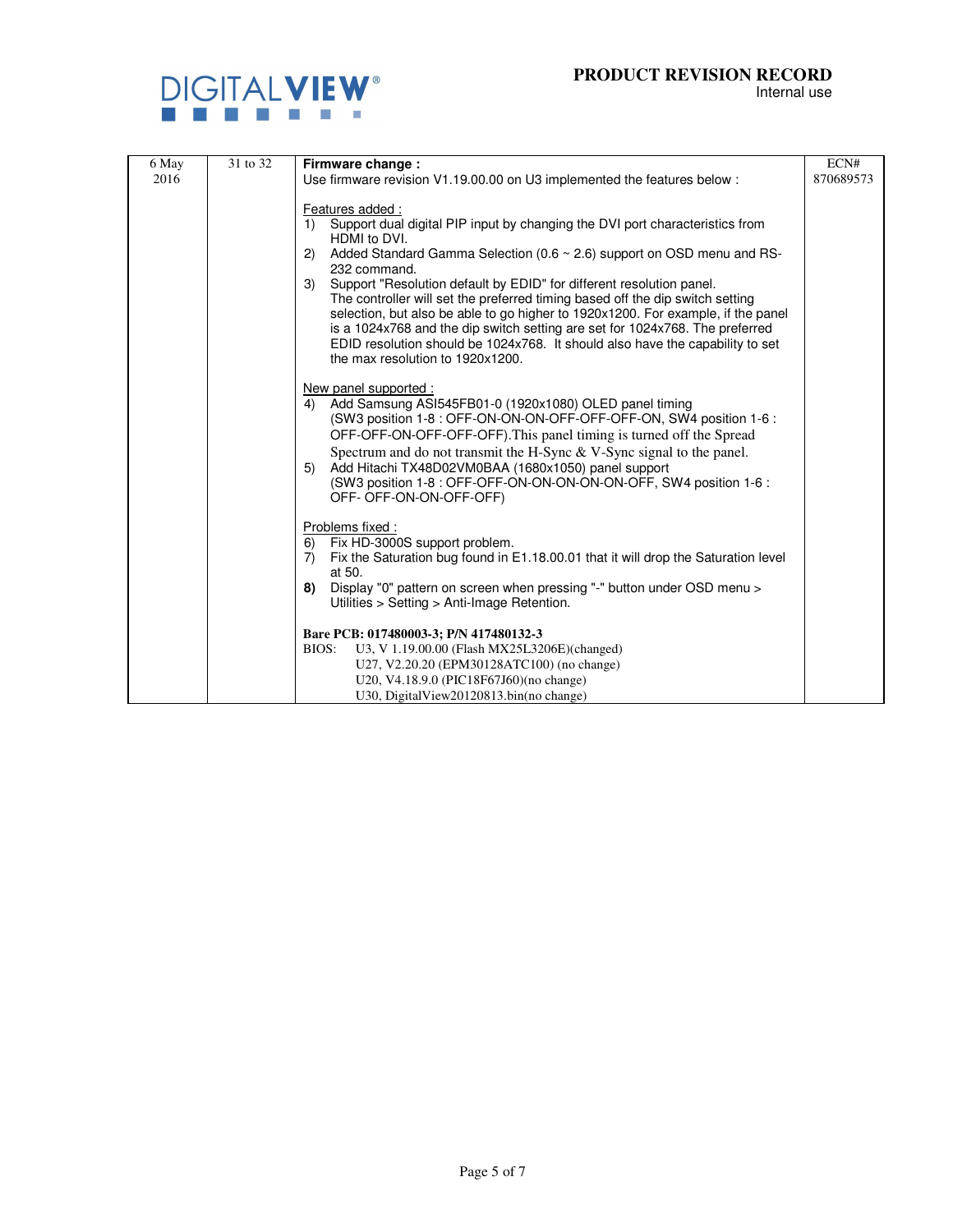

| 6 May | 31 to 32 | Firmware change:                                                                                                                                              | ECN#      |
|-------|----------|---------------------------------------------------------------------------------------------------------------------------------------------------------------|-----------|
| 2016  |          | Use firmware revision V1.19.00.00 on U3 implemented the features below :                                                                                      | 870689573 |
|       |          |                                                                                                                                                               |           |
|       |          | Features added:                                                                                                                                               |           |
|       |          | Support dual digital PIP input by changing the DVI port characteristics from<br>1)<br>HDMI to DVI.                                                            |           |
|       |          | Added Standard Gamma Selection (0.6 ~ 2.6) support on OSD menu and RS-<br>(2)                                                                                 |           |
|       |          | 232 command.                                                                                                                                                  |           |
|       |          | Support "Resolution default by EDID" for different resolution panel.<br>3)                                                                                    |           |
|       |          | The controller will set the preferred timing based off the dip switch setting                                                                                 |           |
|       |          | selection, but also be able to go higher to 1920x1200. For example, if the panel                                                                              |           |
|       |          | is a 1024x768 and the dip switch setting are set for 1024x768. The preferred<br>EDID resolution should be 1024x768. It should also have the capability to set |           |
|       |          | the max resolution to 1920x1200.                                                                                                                              |           |
|       |          |                                                                                                                                                               |           |
|       |          | New panel supported :                                                                                                                                         |           |
|       |          | Add Samsung ASI545FB01-0 (1920x1080) OLED panel timing<br>4)                                                                                                  |           |
|       |          | (SW3 position 1-8 : OFF-ON-ON-ON-OFF-OFF-OFF-ON, SW4 position 1-6 :                                                                                           |           |
|       |          | OFF-OFF-ON-OFF-OFF-OFF). This panel timing is turned off the Spread                                                                                           |           |
|       |          | Spectrum and do not transmit the H-Sync $\&$ V-Sync signal to the panel.<br>Add Hitachi TX48D02VM0BAA (1680x1050) panel support                               |           |
|       |          | 5)<br>(SW3 position 1-8 : OFF-OFF-ON-ON-ON-ON-ON-OFF, SW4 position 1-6 :                                                                                      |           |
|       |          | OFF-OFF-ON-ON-OFF-OFF)                                                                                                                                        |           |
|       |          |                                                                                                                                                               |           |
|       |          | Problems fixed:                                                                                                                                               |           |
|       |          | Fix HD-3000S support problem.<br>6)                                                                                                                           |           |
|       |          | Fix the Saturation bug found in E1.18.00.01 that it will drop the Saturation level<br>7)<br>at 50.                                                            |           |
|       |          | Display "0" pattern on screen when pressing "-" button under OSD menu ><br>8)                                                                                 |           |
|       |          | Utilities > Setting > Anti-Image Retention.                                                                                                                   |           |
|       |          |                                                                                                                                                               |           |
|       |          | Bare PCB: 017480003-3; P/N 417480132-3                                                                                                                        |           |
|       |          | U3, V 1.19.00.00 (Flash MX25L3206E)(changed)<br>BIOS:                                                                                                         |           |
|       |          | U27, V2.20.20 (EPM30128ATC100) (no change)                                                                                                                    |           |
|       |          | U20, V4.18.9.0 (PIC18F67J60)(no change)                                                                                                                       |           |
|       |          | U30, DigitalView20120813.bin(no change)                                                                                                                       |           |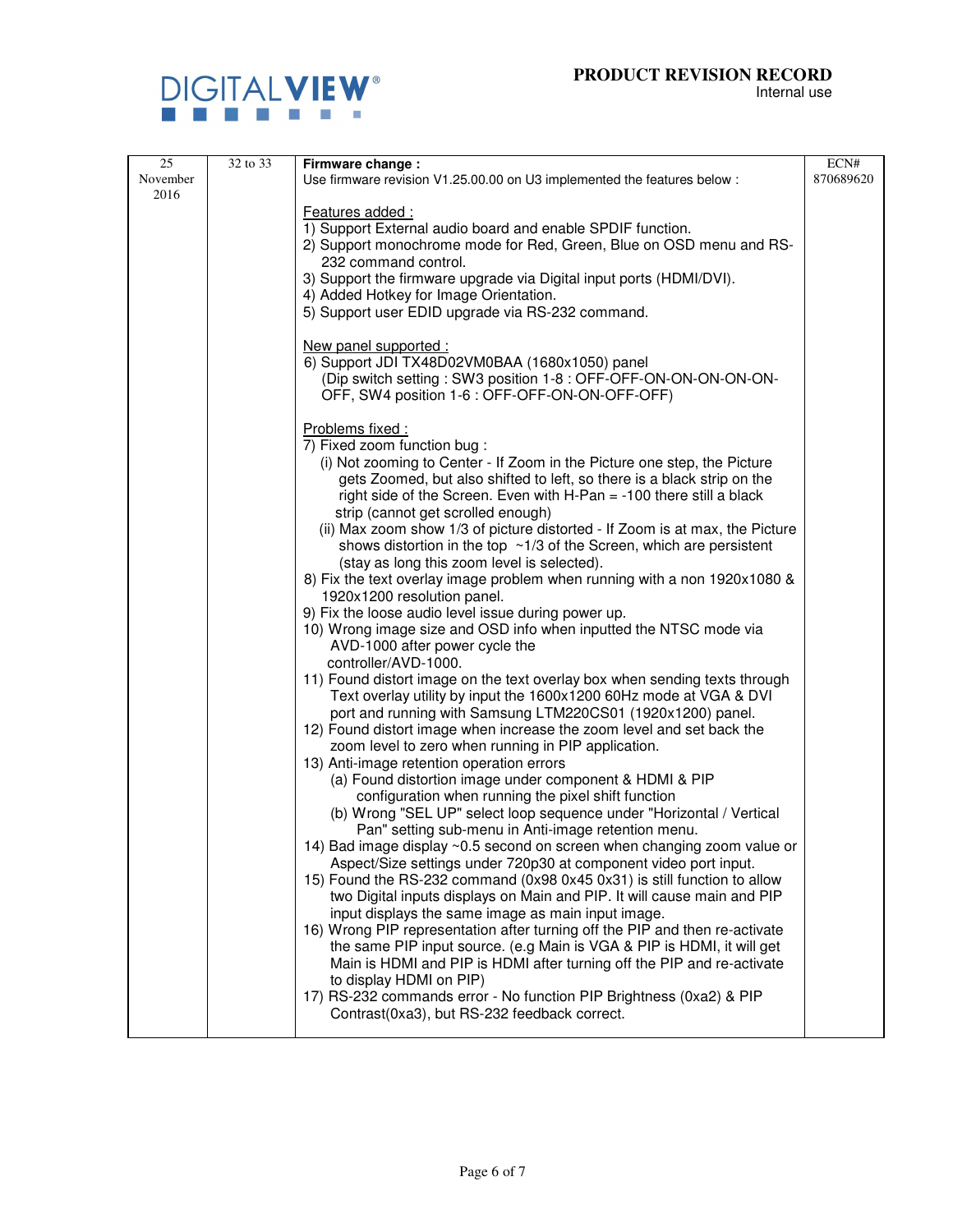

| 25       | 32 to 33 | Firmware change:                                                                                                    | ECN#      |
|----------|----------|---------------------------------------------------------------------------------------------------------------------|-----------|
| November |          | Use firmware revision V1.25.00.00 on U3 implemented the features below :                                            | 870689620 |
| 2016     |          |                                                                                                                     |           |
|          |          | Features added:                                                                                                     |           |
|          |          | 1) Support External audio board and enable SPDIF function.                                                          |           |
|          |          | 2) Support monochrome mode for Red, Green, Blue on OSD menu and RS-                                                 |           |
|          |          | 232 command control.                                                                                                |           |
|          |          | 3) Support the firmware upgrade via Digital input ports (HDMI/DVI).                                                 |           |
|          |          | 4) Added Hotkey for Image Orientation.                                                                              |           |
|          |          | 5) Support user EDID upgrade via RS-232 command.                                                                    |           |
|          |          |                                                                                                                     |           |
|          |          | New panel supported :                                                                                               |           |
|          |          | 6) Support JDI TX48D02VM0BAA (1680x1050) panel                                                                      |           |
|          |          | (Dip switch setting: SW3 position 1-8 : OFF-OFF-ON-ON-ON-ON-ON-                                                     |           |
|          |          | OFF, SW4 position 1-6 : OFF-OFF-ON-ON-OFF-OFF)                                                                      |           |
|          |          | Problems fixed :                                                                                                    |           |
|          |          | 7) Fixed zoom function bug:                                                                                         |           |
|          |          | (i) Not zooming to Center - If Zoom in the Picture one step, the Picture                                            |           |
|          |          | gets Zoomed, but also shifted to left, so there is a black strip on the                                             |           |
|          |          | right side of the Screen. Even with $H$ -Pan = -100 there still a black                                             |           |
|          |          | strip (cannot get scrolled enough)                                                                                  |           |
|          |          | (ii) Max zoom show 1/3 of picture distorted - If Zoom is at max, the Picture                                        |           |
|          |          | shows distortion in the top $\sim$ 1/3 of the Screen, which are persistent                                          |           |
|          |          | (stay as long this zoom level is selected).                                                                         |           |
|          |          | 8) Fix the text overlay image problem when running with a non 1920x1080 &                                           |           |
|          |          | 1920x1200 resolution panel.                                                                                         |           |
|          |          | 9) Fix the loose audio level issue during power up.                                                                 |           |
|          |          | 10) Wrong image size and OSD info when inputted the NTSC mode via                                                   |           |
|          |          | AVD-1000 after power cycle the                                                                                      |           |
|          |          | controller/AVD-1000.                                                                                                |           |
|          |          | 11) Found distort image on the text overlay box when sending texts through                                          |           |
|          |          | Text overlay utility by input the 1600x1200 60Hz mode at VGA & DVI                                                  |           |
|          |          | port and running with Samsung LTM220CS01 (1920x1200) panel.                                                         |           |
|          |          | 12) Found distort image when increase the zoom level and set back the                                               |           |
|          |          | zoom level to zero when running in PIP application.                                                                 |           |
|          |          | 13) Anti-image retention operation errors                                                                           |           |
|          |          | (a) Found distortion image under component & HDMI & PIP                                                             |           |
|          |          | configuration when running the pixel shift function                                                                 |           |
|          |          | (b) Wrong "SEL UP" select loop sequence under "Horizontal / Vertical                                                |           |
|          |          | Pan" setting sub-menu in Anti-image retention menu.                                                                 |           |
|          |          | 14) Bad image display ~0.5 second on screen when changing zoom value or                                             |           |
|          |          | Aspect/Size settings under 720p30 at component video port input.                                                    |           |
|          |          | 15) Found the RS-232 command (0x98 0x45 0x31) is still function to allow                                            |           |
|          |          | two Digital inputs displays on Main and PIP. It will cause main and PIP                                             |           |
|          |          | input displays the same image as main input image.                                                                  |           |
|          |          | 16) Wrong PIP representation after turning off the PIP and then re-activate                                         |           |
|          |          | the same PIP input source. (e.g Main is VGA & PIP is HDMI, it will get                                              |           |
|          |          | Main is HDMI and PIP is HDMI after turning off the PIP and re-activate                                              |           |
|          |          | to display HDMI on PIP)                                                                                             |           |
|          |          | 17) RS-232 commands error - No function PIP Brightness (0xa2) & PIP<br>Contrast(0xa3), but RS-232 feedback correct. |           |
|          |          |                                                                                                                     |           |
|          |          |                                                                                                                     |           |